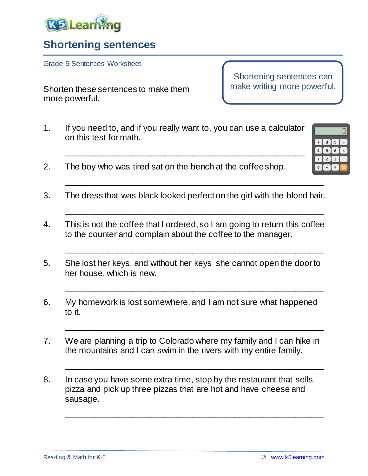

## **Shortening sentences**

Grade 5 Sentences Worksheet

Shorten these sentences to make them more powerful.

Shortening sentences can make writing more powerful.

> 7 I 8 I Ιq. -6

- 1. If you need to, and if you really want to, you can use a calculator on this test for math.
- 2. The boy who was tired sat on the bench at the coffee shop.
- 3. The dress that was black looked perfect on the girl with the blond hair.

\_\_\_\_\_\_\_\_\_\_\_\_\_\_\_\_\_\_\_\_\_\_\_\_\_\_\_\_\_\_\_\_\_\_\_\_\_\_\_\_\_\_\_\_\_\_\_\_\_\_\_\_\_\_\_

\_\_\_\_\_\_\_\_\_\_\_\_\_\_\_\_\_\_\_\_\_\_\_\_\_\_\_\_\_\_\_\_\_\_\_\_\_\_\_\_\_\_\_\_\_\_\_\_\_\_\_\_\_\_\_

\_\_\_\_\_\_\_\_\_\_\_\_\_\_\_\_\_\_\_\_\_\_\_\_\_\_\_\_\_\_\_\_\_\_\_\_\_\_\_\_\_\_\_\_\_\_\_\_\_\_\_\_\_\_\_

\_\_\_\_\_\_\_\_\_\_\_\_\_\_\_\_\_\_\_\_\_\_\_\_\_\_\_\_\_\_\_\_\_\_\_\_\_\_\_\_\_\_\_\_\_\_\_\_\_\_\_\_\_\_\_

\_\_\_\_\_\_\_\_\_\_\_\_\_\_\_\_\_\_\_\_\_\_\_\_\_\_\_\_\_\_\_\_\_\_\_\_\_\_\_\_\_\_\_\_\_\_\_\_\_\_\_\_\_\_\_

\_\_\_\_\_\_\_\_\_\_\_\_\_\_\_\_\_\_\_\_\_\_\_\_\_\_\_\_\_\_\_\_\_\_\_\_\_\_\_\_\_\_\_\_\_\_\_\_\_\_\_\_\_\_\_

\_\_\_\_\_\_\_\_\_\_\_\_\_\_\_\_\_\_\_\_\_\_\_\_\_\_\_\_\_\_\_\_\_\_\_\_\_\_\_\_\_\_\_\_\_\_\_\_\_\_\_\_\_\_\_

\_\_\_\_\_\_\_\_\_\_\_\_\_\_\_\_\_\_\_\_\_\_\_\_\_\_\_\_\_\_\_\_\_\_\_\_\_\_\_\_\_\_\_\_\_\_\_\_\_\_\_

- 4. This is not the coffee that I ordered, so I am going to return this coffee to the counter and complain about the coffee to the manager.
- 5. She lost her keys, and without her keys she cannot open the door to her house, which is new.
- 6. My homework is lost somewhere, and I am not sure what happened to it.
- 7. We are planning a trip to Colorado where my family and I can hike in the mountains and I can swim in the rivers with my entire family.
- 8. In case you have some extra time, stop by the restaurant that sells pizza and pick up three pizzas that are hot and have cheese and sausage.